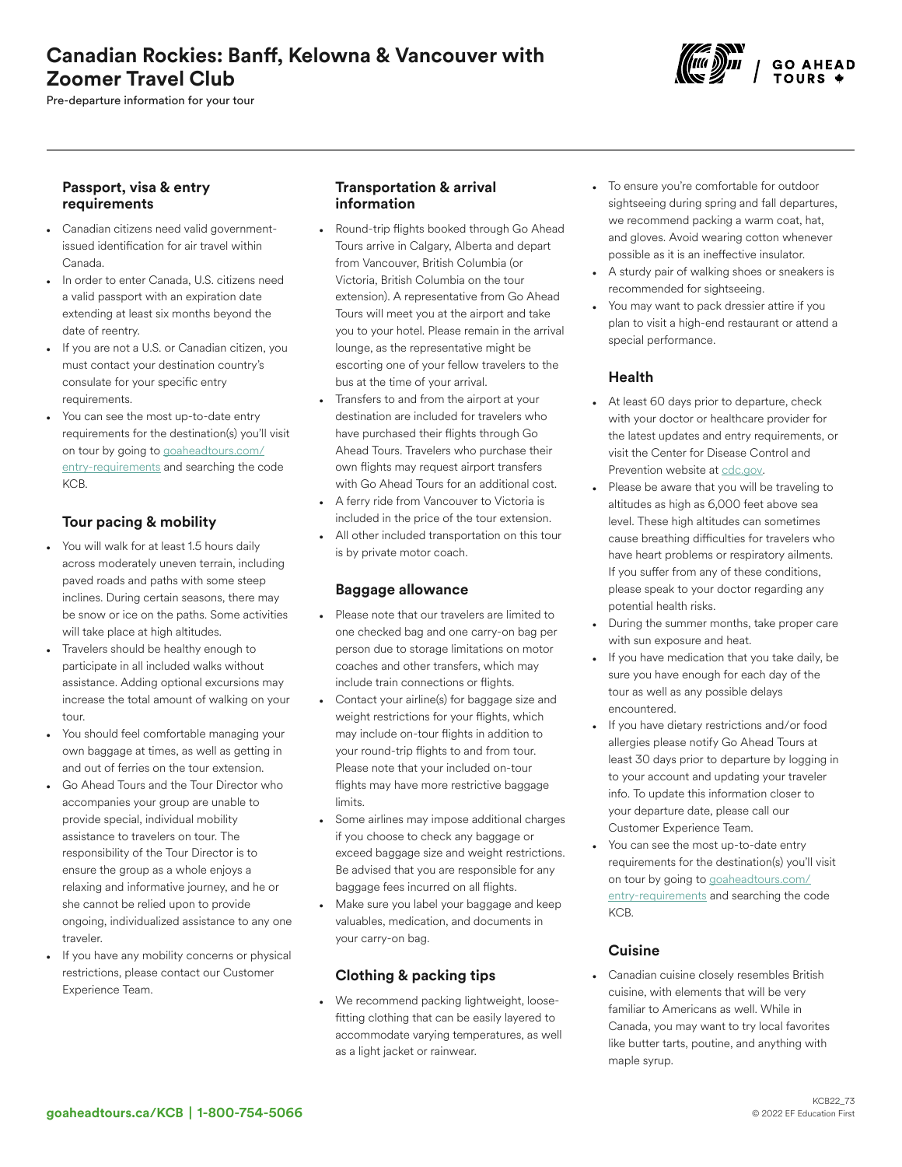# Canadian Rockies: Banff, Kelowna & Vancouver with Zoomer Travel Club

Pre-departure information for your tour



### Passport, visa & entry requirements

- Canadian citizens need valid governmentissued identification for air travel within Canada.
- In order to enter Canada, U.S. citizens need a valid passport with an expiration date extending at least six months beyond the date of reentry.
- If you are not a U.S. or Canadian citizen, you must contact your destination country's consulate for your specific entry requirements.
- You can see the most up-to-date entry requirements for the destination(s) you'll visit on tour by going to [goaheadtours.com/](/entry-requirements?tourCode=KCB) [entry-requirements](/entry-requirements?tourCode=KCB) and searching the code KCB.

## Tour pacing & mobility

- You will walk for at least 1.5 hours daily across moderately uneven terrain, including paved roads and paths with some steep inclines. During certain seasons, there may be snow or ice on the paths. Some activities will take place at high altitudes.
- Travelers should be healthy enough to participate in all included walks without assistance. Adding optional excursions may increase the total amount of walking on your tour.
- You should feel comfortable managing your own baggage at times, as well as getting in and out of ferries on the tour extension.
- Go Ahead Tours and the Tour Director who accompanies your group are unable to provide special, individual mobility assistance to travelers on tour. The responsibility of the Tour Director is to ensure the group as a whole enjoys a relaxing and informative journey, and he or she cannot be relied upon to provide ongoing, individualized assistance to any one traveler.
- If you have any mobility concerns or physical restrictions, please contact our Customer Experience Team.

### Transportation & arrival information

- Round-trip flights booked through Go Ahead Tours arrive in Calgary, Alberta and depart from Vancouver, British Columbia (or Victoria, British Columbia on the tour extension). A representative from Go Ahead Tours will meet you at the airport and take you to your hotel. Please remain in the arrival lounge, as the representative might be escorting one of your fellow travelers to the bus at the time of your arrival.
- Transfers to and from the airport at your destination are included for travelers who have purchased their flights through Go Ahead Tours. Travelers who purchase their own flights may request airport transfers with Go Ahead Tours for an additional cost.
- A ferry ride from Vancouver to Victoria is included in the price of the tour extension. All other included transportation on this tour is by private motor coach.

### Baggage allowance

- Please note that our travelers are limited to one checked bag and one carry-on bag per person due to storage limitations on motor coaches and other transfers, which may include train connections or flights.
- Contact your airline(s) for baggage size and weight restrictions for your flights, which may include on-tour flights in addition to your round-trip flights to and from tour. Please note that your included on-tour flights may have more restrictive baggage limits.
- Some airlines may impose additional charges if you choose to check any baggage or exceed baggage size and weight restrictions. Be advised that you are responsible for any baggage fees incurred on all flights.
- Make sure you label your baggage and keep valuables, medication, and documents in your carry-on bag.

### Clothing & packing tips

• We recommend packing lightweight, loosefitting clothing that can be easily layered to accommodate varying temperatures, as well as a light jacket or rainwear.

- To ensure you're comfortable for outdoor sightseeing during spring and fall departures, we recommend packing a warm coat, hat, and gloves. Avoid wearing cotton whenever possible as it is an ineffective insulator.
- A sturdy pair of walking shoes or sneakers is recommended for sightseeing.
- You may want to pack dressier attire if you plan to visit a high-end restaurant or attend a special performance.

### Health

- At least 60 days prior to departure, check with your doctor or healthcare provider for the latest updates and entry requirements, or visit the Center for Disease Control and Prevention website at [cdc.gov.](https://www.cdc.gov/)
- Please be aware that you will be traveling to altitudes as high as 6,000 feet above sea level. These high altitudes can sometimes cause breathing difficulties for travelers who have heart problems or respiratory ailments. If you suffer from any of these conditions, please speak to your doctor regarding any potential health risks.
- During the summer months, take proper care with sun exposure and heat.
- If you have medication that you take daily, be sure you have enough for each day of the tour as well as any possible delays encountered.
- If you have dietary restrictions and/or food allergies please notify Go Ahead Tours at least 30 days prior to departure by logging in to your account and updating your traveler info. To update this information closer to your departure date, please call our Customer Experience Team.
- You can see the most up-to-date entry requirements for the destination(s) you'll visit on tour by going to [goaheadtours.com/](/entry-requirements?tourCode=KCB) [entry-requirements](/entry-requirements?tourCode=KCB) and searching the code KCB.

## **Cuisine**

• Canadian cuisine closely resembles British cuisine, with elements that will be very familiar to Americans as well. While in Canada, you may want to try local favorites like butter tarts, poutine, and anything with maple syrup.